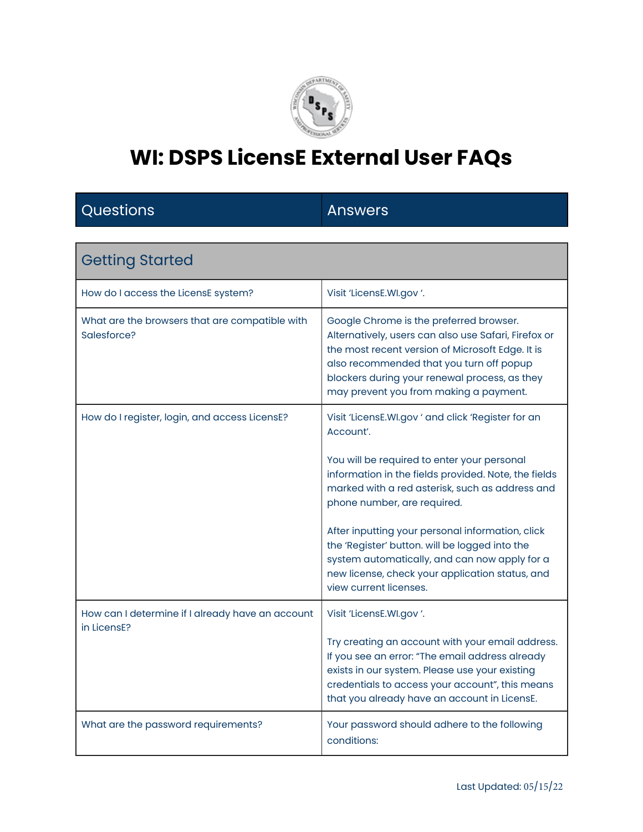

#### Questions **Answers**

| <b>Getting Started</b>                                          |                                                                                                                                                                                                                                                                                                                                                                                                                                                                                              |
|-----------------------------------------------------------------|----------------------------------------------------------------------------------------------------------------------------------------------------------------------------------------------------------------------------------------------------------------------------------------------------------------------------------------------------------------------------------------------------------------------------------------------------------------------------------------------|
| How do I access the LicensE system?                             | Visit 'LicensE.WI.gov '.                                                                                                                                                                                                                                                                                                                                                                                                                                                                     |
| What are the browsers that are compatible with<br>Salesforce?   | Google Chrome is the preferred browser.<br>Alternatively, users can also use Safari, Firefox or<br>the most recent version of Microsoft Edge. It is<br>also recommended that you turn off popup<br>blockers during your renewal process, as they<br>may prevent you from making a payment.                                                                                                                                                                                                   |
| How do I register, login, and access LicensE?                   | Visit 'LicensE.WI.gov ' and click 'Register for an<br>Account'.<br>You will be required to enter your personal<br>information in the fields provided. Note, the fields<br>marked with a red asterisk, such as address and<br>phone number, are required.<br>After inputting your personal information, click<br>the 'Register' button. will be logged into the<br>system automatically, and can now apply for a<br>new license, check your application status, and<br>view current licenses. |
| How can I determine if I already have an account<br>in LicensE? | Visit 'LicensE.WI.gov '.<br>Try creating an account with your email address.<br>If you see an error: "The email address already<br>exists in our system. Please use your existing<br>credentials to access your account", this means<br>that you already have an account in LicensE.                                                                                                                                                                                                         |
| What are the password requirements?                             | Your password should adhere to the following<br>conditions:                                                                                                                                                                                                                                                                                                                                                                                                                                  |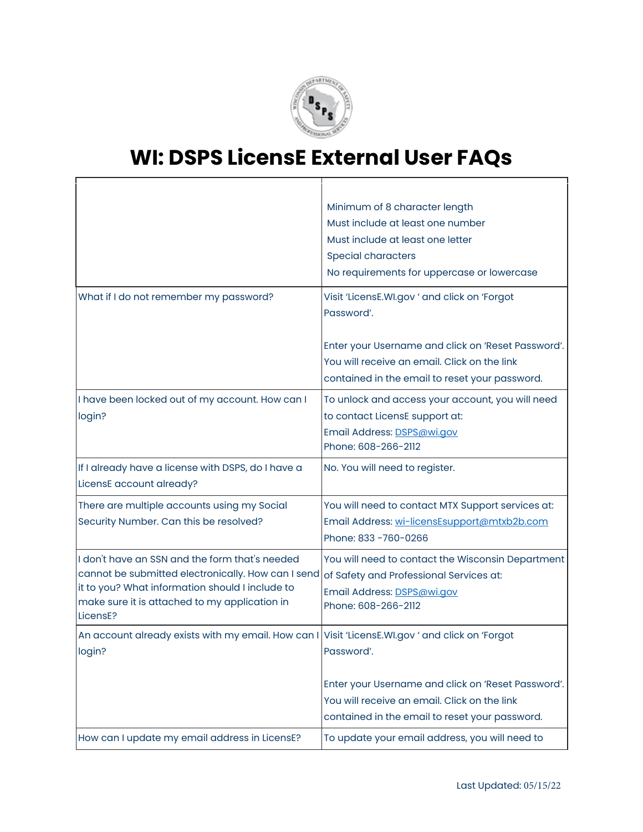

|                                                                                                                                                                                                                      | Minimum of 8 character length<br>Must include at least one number<br>Must include at least one letter<br><b>Special characters</b><br>No requirements for uppercase or lowercase                                   |
|----------------------------------------------------------------------------------------------------------------------------------------------------------------------------------------------------------------------|--------------------------------------------------------------------------------------------------------------------------------------------------------------------------------------------------------------------|
| What if I do not remember my password?                                                                                                                                                                               | Visit 'LicensE.WI.gov ' and click on 'Forgot<br>Password'.<br>Enter your Username and click on 'Reset Password'.<br>You will receive an email. Click on the link<br>contained in the email to reset your password. |
| I have been locked out of my account. How can I<br>login?                                                                                                                                                            | To unlock and access your account, you will need<br>to contact LicensE support at:<br>Email Address: DSPS@wi.gov<br>Phone: 608-266-2112                                                                            |
| If I already have a license with DSPS, do I have a<br>LicensE account already?                                                                                                                                       | No. You will need to register.                                                                                                                                                                                     |
| There are multiple accounts using my Social<br>Security Number. Can this be resolved?                                                                                                                                | You will need to contact MTX Support services at:<br>Email Address: wi-licensEsupport@mtxb2b.com<br>Phone: 833 - 760 - 0266                                                                                        |
| I don't have an SSN and the form that's needed<br>cannot be submitted electronically. How can I send<br>it to you? What information should I include to<br>make sure it is attached to my application in<br>LicensE? | You will need to contact the Wisconsin Department<br>of Safety and Professional Services at:<br>Email Address: DSPS@wi.gov<br>Phone: 608-266-2112                                                                  |
| An account already exists with my email. How can I Visit 'LicensE.WI.gov ' and click on 'Forgot<br>login?                                                                                                            | Password'.<br>Enter your Username and click on 'Reset Password'.<br>You will receive an email. Click on the link<br>contained in the email to reset your password.                                                 |
| How can I update my email address in LicensE?                                                                                                                                                                        | To update your email address, you will need to                                                                                                                                                                     |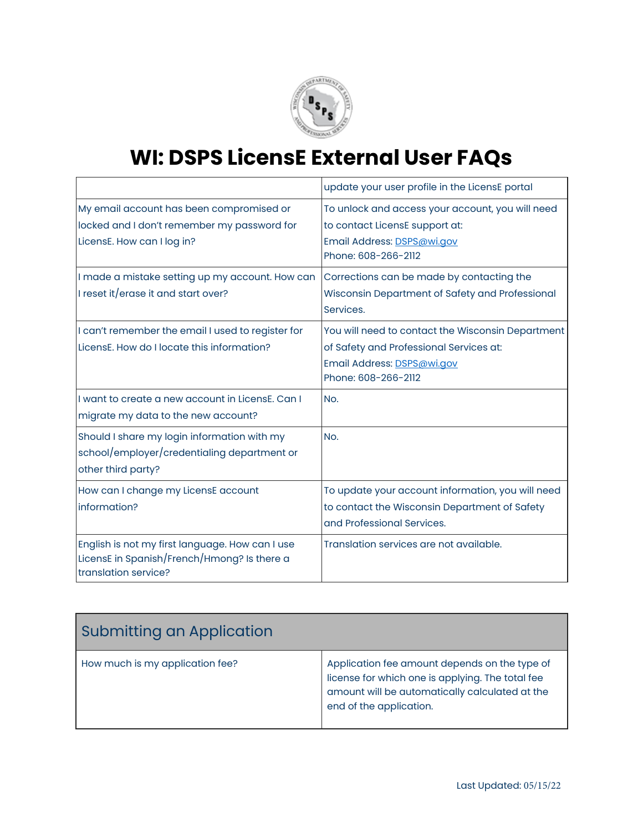

|                                                                                                                        | update your user profile in the LicensE portal                                                                                                    |
|------------------------------------------------------------------------------------------------------------------------|---------------------------------------------------------------------------------------------------------------------------------------------------|
| My email account has been compromised or<br>locked and I don't remember my password for<br>LicensE. How can I log in?  | To unlock and access your account, you will need<br>to contact LicensE support at:<br>Email Address: DSPS@wi.gov<br>Phone: 608-266-2112           |
| I made a mistake setting up my account. How can<br>I reset it/erase it and start over?                                 | Corrections can be made by contacting the<br>Wisconsin Department of Safety and Professional<br>Services.                                         |
| I can't remember the email I used to register for<br>LicensE. How do I locate this information?                        | You will need to contact the Wisconsin Department<br>of Safety and Professional Services at:<br>Email Address: DSPS@wi.gov<br>Phone: 608-266-2112 |
| I want to create a new account in LicensE. Can I<br>migrate my data to the new account?                                | No.                                                                                                                                               |
| Should I share my login information with my<br>school/employer/credentialing department or<br>other third party?       | No.                                                                                                                                               |
| How can I change my LicensE account<br>information?                                                                    | To update your account information, you will need<br>to contact the Wisconsin Department of Safety<br>and Professional Services.                  |
| English is not my first language. How can I use<br>LicensE in Spanish/French/Hmong? Is there a<br>translation service? | Translation services are not available.                                                                                                           |

| <b>Submitting an Application</b> |                                                                                                                                                                                |
|----------------------------------|--------------------------------------------------------------------------------------------------------------------------------------------------------------------------------|
| How much is my application fee?  | Application fee amount depends on the type of<br>license for which one is applying. The total fee<br>amount will be automatically calculated at the<br>end of the application. |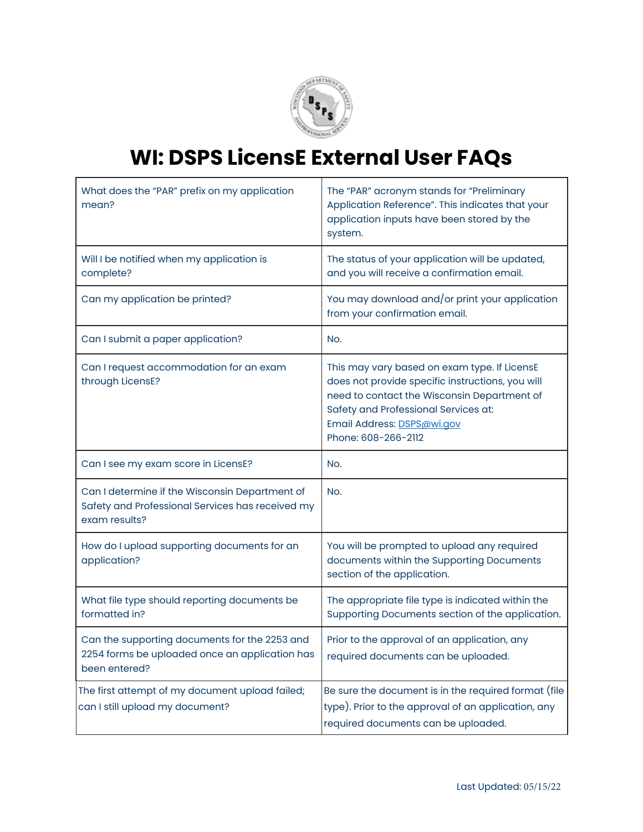

| What does the "PAR" prefix on my application<br>mean?                                                               | The "PAR" acronym stands for "Preliminary<br>Application Reference". This indicates that your<br>application inputs have been stored by the<br>system.                                                                                       |
|---------------------------------------------------------------------------------------------------------------------|----------------------------------------------------------------------------------------------------------------------------------------------------------------------------------------------------------------------------------------------|
| Will I be notified when my application is<br>complete?                                                              | The status of your application will be updated,<br>and you will receive a confirmation email.                                                                                                                                                |
| Can my application be printed?                                                                                      | You may download and/or print your application<br>from your confirmation email.                                                                                                                                                              |
| Can I submit a paper application?                                                                                   | No.                                                                                                                                                                                                                                          |
| Can I request accommodation for an exam<br>through LicensE?                                                         | This may vary based on exam type. If LicensE<br>does not provide specific instructions, you will<br>need to contact the Wisconsin Department of<br>Safety and Professional Services at:<br>Email Address: DSPS@wi.gov<br>Phone: 608-266-2112 |
| Can I see my exam score in LicensE?                                                                                 | No.                                                                                                                                                                                                                                          |
| Can I determine if the Wisconsin Department of<br>Safety and Professional Services has received my<br>exam results? | No.                                                                                                                                                                                                                                          |
| How do I upload supporting documents for an<br>application?                                                         | You will be prompted to upload any required<br>documents within the Supporting Documents<br>section of the application.                                                                                                                      |
| What file type should reporting documents be<br>formatted in?                                                       | The appropriate file type is indicated within the<br>Supporting Documents section of the application.                                                                                                                                        |
| Can the supporting documents for the 2253 and<br>2254 forms be uploaded once an application has<br>been entered?    | Prior to the approval of an application, any<br>required documents can be uploaded.                                                                                                                                                          |
| The first attempt of my document upload failed;<br>can I still upload my document?                                  | Be sure the document is in the required format (file<br>type). Prior to the approval of an application, any<br>required documents can be uploaded.                                                                                           |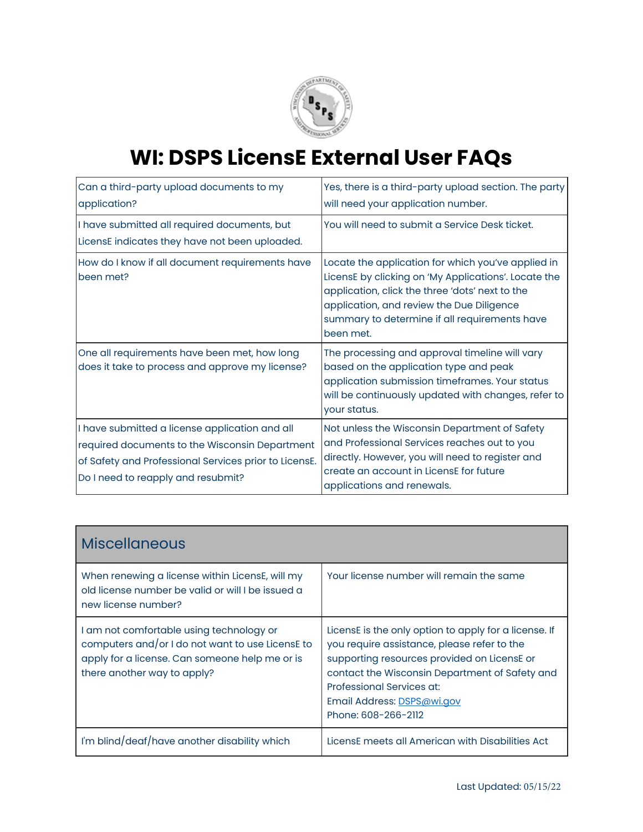

| Can a third-party upload documents to my<br>application?                                                                                                                                        | Yes, there is a third-party upload section. The party<br>will need your application number.                                                                                                                                                                              |
|-------------------------------------------------------------------------------------------------------------------------------------------------------------------------------------------------|--------------------------------------------------------------------------------------------------------------------------------------------------------------------------------------------------------------------------------------------------------------------------|
| I have submitted all required documents, but<br>LicensE indicates they have not been uploaded.                                                                                                  | You will need to submit a Service Desk ticket.                                                                                                                                                                                                                           |
| How do I know if all document requirements have<br>been met?                                                                                                                                    | Locate the application for which you've applied in<br>LicensE by clicking on 'My Applications'. Locate the<br>application, click the three 'dots' next to the<br>application, and review the Due Diligence<br>summary to determine if all requirements have<br>been met. |
| One all requirements have been met, how long<br>does it take to process and approve my license?                                                                                                 | The processing and approval timeline will vary<br>based on the application type and peak<br>application submission timeframes. Your status<br>will be continuously updated with changes, refer to<br>your status.                                                        |
| I have submitted a license application and all<br>required documents to the Wisconsin Department<br>of Safety and Professional Services prior to LicensE.<br>Do I need to reapply and resubmit? | Not unless the Wisconsin Department of Safety<br>and Professional Services reaches out to you<br>directly. However, you will need to register and<br>create an account in LicensE for future<br>applications and renewals.                                               |

| <b>Miscellaneous</b>                                                                                                                                                          |                                                                                                                                                                                                                                                                                         |
|-------------------------------------------------------------------------------------------------------------------------------------------------------------------------------|-----------------------------------------------------------------------------------------------------------------------------------------------------------------------------------------------------------------------------------------------------------------------------------------|
| When renewing a license within LicensE, will my<br>old license number be valid or will I be issued a<br>new license number?                                                   | Your license number will remain the same                                                                                                                                                                                                                                                |
| I am not comfortable using technology or<br>computers and/or I do not want to use LicensE to<br>apply for a license. Can someone help me or is<br>there another way to apply? | LicensE is the only option to apply for a license. If<br>you require assistance, please refer to the<br>supporting resources provided on LicensE or<br>contact the Wisconsin Department of Safety and<br>Professional Services at:<br>Email Address: DSPS@wi.gov<br>Phone: 608-266-2112 |
| I'm blind/deaf/have another disability which                                                                                                                                  | LicensE meets all American with Disabilities Act                                                                                                                                                                                                                                        |